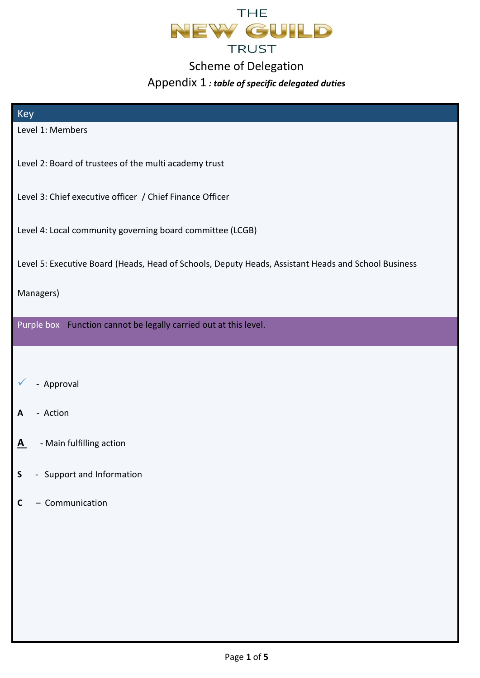

## Scheme of Delegation

## Appendix 1 *: table of specific delegated duties*

| Key                                                                                                 |
|-----------------------------------------------------------------------------------------------------|
| Level 1: Members                                                                                    |
|                                                                                                     |
| Level 2: Board of trustees of the multi academy trust                                               |
| Level 3: Chief executive officer / Chief Finance Officer                                            |
|                                                                                                     |
| Level 4: Local community governing board committee (LCGB)                                           |
|                                                                                                     |
| Level 5: Executive Board (Heads, Head of Schools, Deputy Heads, Assistant Heads and School Business |
| Managers)                                                                                           |
|                                                                                                     |
| Purple box Function cannot be legally carried out at this level.                                    |
|                                                                                                     |
|                                                                                                     |
| - Approval                                                                                          |
| - Action                                                                                            |
| A                                                                                                   |
| - Main fulfilling action<br><u>A</u>                                                                |
|                                                                                                     |
| - Support and Information<br>$\mathsf S$                                                            |
| - Communication<br>C                                                                                |
|                                                                                                     |
|                                                                                                     |
|                                                                                                     |
|                                                                                                     |
|                                                                                                     |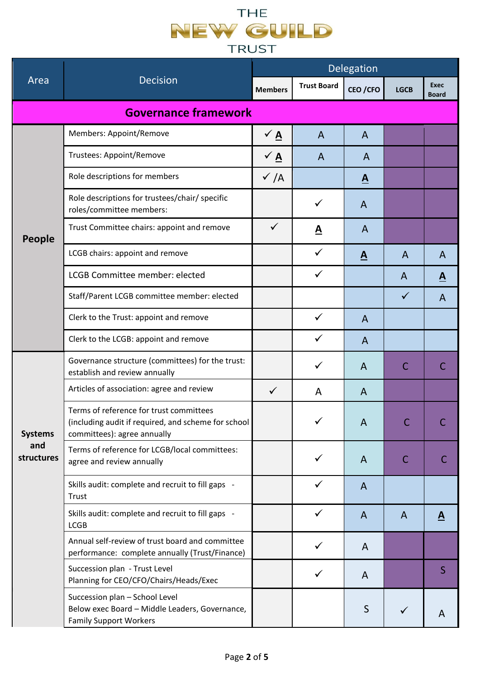## THE NEW CUILD **TRUST**

|                                     |                                                                                                                               | Delegation      |                          |                          |              |                             |  |  |
|-------------------------------------|-------------------------------------------------------------------------------------------------------------------------------|-----------------|--------------------------|--------------------------|--------------|-----------------------------|--|--|
| Area                                | <b>Decision</b>                                                                                                               | <b>Members</b>  | <b>Trust Board</b>       | CEO / CFO                | <b>LGCB</b>  | <b>Exec</b><br><b>Board</b> |  |  |
| <b>Governance framework</b>         |                                                                                                                               |                 |                          |                          |              |                             |  |  |
| People                              | Members: Appoint/Remove                                                                                                       | $\sqrt{A}$      | $\overline{A}$           | $\mathsf{A}$             |              |                             |  |  |
|                                     | <b>Trustees: Appoint/Remove</b>                                                                                               | $\sqrt{4}$      | A                        | A                        |              |                             |  |  |
|                                     | Role descriptions for members                                                                                                 | $\checkmark$ /A |                          | $\underline{\mathbf{A}}$ |              |                             |  |  |
|                                     | Role descriptions for trustees/chair/ specific<br>roles/committee members:                                                    |                 | ✓                        | A                        |              |                             |  |  |
|                                     | Trust Committee chairs: appoint and remove                                                                                    | $\checkmark$    | $\underline{\mathbf{A}}$ | A                        |              |                             |  |  |
|                                     | LCGB chairs: appoint and remove                                                                                               |                 | $\checkmark$             | A                        | A            | A                           |  |  |
|                                     | <b>LCGB Committee member: elected</b>                                                                                         |                 |                          |                          | A            | $\underline{\mathbf{A}}$    |  |  |
|                                     | Staff/Parent LCGB committee member: elected                                                                                   |                 |                          |                          | $\checkmark$ | A                           |  |  |
|                                     | Clerk to the Trust: appoint and remove                                                                                        |                 | $\checkmark$             | $\mathsf{A}$             |              |                             |  |  |
|                                     | Clerk to the LCGB: appoint and remove                                                                                         |                 | ✓                        | A                        |              |                             |  |  |
|                                     | Governance structure (committees) for the trust:<br>establish and review annually                                             |                 | $\checkmark$             | A                        | $\mathsf{C}$ |                             |  |  |
|                                     | Articles of association: agree and review                                                                                     | $\checkmark$    | A                        | A                        |              |                             |  |  |
| <b>Systems</b><br>and<br>structures | Terms of reference for trust committees<br>(including audit if required, and scheme for school<br>committees): agree annually |                 |                          | $\overline{A}$           |              |                             |  |  |
|                                     | Terms of reference for LCGB/local committees:<br>agree and review annually                                                    |                 | $\checkmark$             | A                        | C            | С                           |  |  |
|                                     | Skills audit: complete and recruit to fill gaps -<br>Trust                                                                    |                 |                          | A                        |              |                             |  |  |
|                                     | Skills audit: complete and recruit to fill gaps -<br><b>LCGB</b>                                                              |                 | $\checkmark$             | A                        | $\mathsf{A}$ | $\underline{\mathbf{A}}$    |  |  |
|                                     | Annual self-review of trust board and committee<br>performance: complete annually (Trust/Finance)                             |                 | ✓                        | A                        |              |                             |  |  |
|                                     | Succession plan - Trust Level<br>Planning for CEO/CFO/Chairs/Heads/Exec                                                       |                 | $\checkmark$             | A                        |              | $\mathsf{S}$                |  |  |
|                                     | Succession plan - School Level<br>Below exec Board - Middle Leaders, Governance,<br><b>Family Support Workers</b>             |                 |                          | $\mathsf{S}$             | $\checkmark$ | A                           |  |  |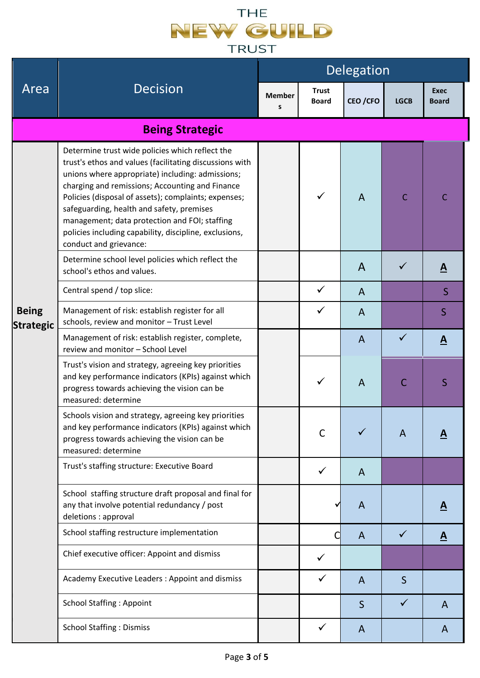## THE NEW CUILD **TRUST**

|                                  |                                                                                                                                                                                                                                                                                                                                                                                                                                                             | Delegation         |                              |                |              |                             |  |
|----------------------------------|-------------------------------------------------------------------------------------------------------------------------------------------------------------------------------------------------------------------------------------------------------------------------------------------------------------------------------------------------------------------------------------------------------------------------------------------------------------|--------------------|------------------------------|----------------|--------------|-----------------------------|--|
| Area                             | <b>Decision</b>                                                                                                                                                                                                                                                                                                                                                                                                                                             | <b>Member</b><br>s | <b>Trust</b><br><b>Board</b> | CEO / CFO      | <b>LGCB</b>  | <b>Exec</b><br><b>Board</b> |  |
|                                  | <b>Being Strategic</b>                                                                                                                                                                                                                                                                                                                                                                                                                                      |                    |                              |                |              |                             |  |
| <b>Being</b><br><b>Strategic</b> | Determine trust wide policies which reflect the<br>trust's ethos and values (facilitating discussions with<br>unions where appropriate) including: admissions;<br>charging and remissions; Accounting and Finance<br>Policies (disposal of assets); complaints; expenses;<br>safeguarding, health and safety, premises<br>management; data protection and FOI; staffing<br>policies including capability, discipline, exclusions,<br>conduct and grievance: |                    | ✓                            | $\overline{A}$ | $\mathsf{C}$ | C                           |  |
|                                  | Determine school level policies which reflect the<br>school's ethos and values.                                                                                                                                                                                                                                                                                                                                                                             |                    |                              | A              |              | $\underline{\mathbf{A}}$    |  |
|                                  | Central spend / top slice:                                                                                                                                                                                                                                                                                                                                                                                                                                  |                    | $\checkmark$                 | $\mathsf{A}$   |              | S                           |  |
|                                  | Management of risk: establish register for all<br>schools, review and monitor - Trust Level                                                                                                                                                                                                                                                                                                                                                                 |                    | $\checkmark$                 | $\overline{A}$ |              | $\mathsf{S}$                |  |
|                                  | Management of risk: establish register, complete,<br>review and monitor - School Level                                                                                                                                                                                                                                                                                                                                                                      |                    |                              | $\mathsf{A}$   | ✓            | $\overline{\mathbf{A}}$     |  |
|                                  | Trust's vision and strategy, agreeing key priorities<br>and key performance indicators (KPIs) against which<br>progress towards achieving the vision can be<br>measured: determine                                                                                                                                                                                                                                                                          |                    |                              | A              | C            | S                           |  |
|                                  | Schools vision and strategy, agreeing key priorities<br>and key performance indicators (KPIs) against which<br>progress towards achieving the vision can be<br>measured: determine                                                                                                                                                                                                                                                                          |                    | $\mathsf{C}$                 |                | A            |                             |  |
|                                  | Trust's staffing structure: Executive Board                                                                                                                                                                                                                                                                                                                                                                                                                 |                    | $\checkmark$                 | $\mathsf{A}$   |              |                             |  |
|                                  | School staffing structure draft proposal and final for<br>any that involve potential redundancy / post<br>deletions : approval                                                                                                                                                                                                                                                                                                                              |                    |                              | A              |              | $\underline{\mathbf{A}}$    |  |
|                                  | School staffing restructure implementation                                                                                                                                                                                                                                                                                                                                                                                                                  |                    |                              | A              | $\checkmark$ | $\underline{\mathbf{A}}$    |  |
|                                  | Chief executive officer: Appoint and dismiss                                                                                                                                                                                                                                                                                                                                                                                                                |                    | ✓                            |                |              |                             |  |
|                                  | Academy Executive Leaders : Appoint and dismiss                                                                                                                                                                                                                                                                                                                                                                                                             |                    |                              | A              | S            |                             |  |
|                                  | <b>School Staffing: Appoint</b>                                                                                                                                                                                                                                                                                                                                                                                                                             |                    |                              | $\mathsf{S}$   | ✓            | A                           |  |
|                                  | <b>School Staffing: Dismiss</b>                                                                                                                                                                                                                                                                                                                                                                                                                             |                    |                              | A              |              | A                           |  |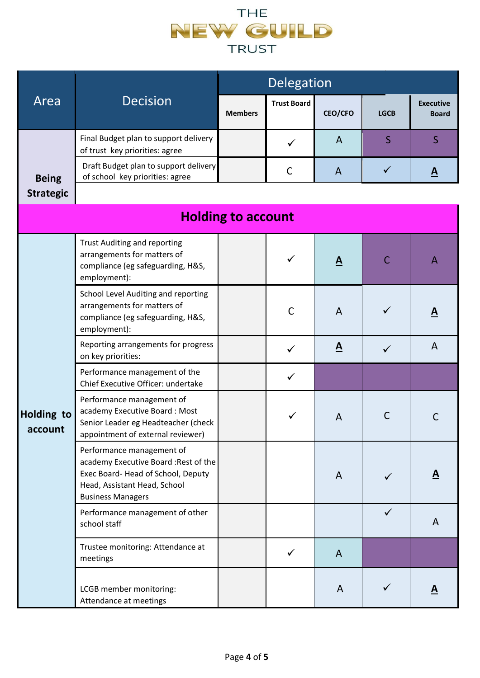

|                              |                                                                                                                                                                     | Delegation     |                    |                          |                |                                  |  |  |
|------------------------------|---------------------------------------------------------------------------------------------------------------------------------------------------------------------|----------------|--------------------|--------------------------|----------------|----------------------------------|--|--|
| Area                         | <b>Decision</b>                                                                                                                                                     | <b>Members</b> | <b>Trust Board</b> | <b>CEO/CFO</b>           | <b>LGCB</b>    | <b>Executive</b><br><b>Board</b> |  |  |
|                              | Final Budget plan to support delivery<br>of trust key priorities: agree                                                                                             |                | $\checkmark$       | $\overline{A}$           | $\overline{S}$ | $\overline{S}$                   |  |  |
| <b>Being</b>                 | Draft Budget plan to support delivery<br>of school key priorities: agree                                                                                            |                | C                  | $\mathsf{A}$             | $\checkmark$   | $\underline{\mathbf{A}}$         |  |  |
| <b>Strategic</b>             |                                                                                                                                                                     |                |                    |                          |                |                                  |  |  |
| <b>Holding to account</b>    |                                                                                                                                                                     |                |                    |                          |                |                                  |  |  |
|                              | <b>Trust Auditing and reporting</b><br>arrangements for matters of<br>compliance (eg safeguarding, H&S,<br>employment):                                             |                | ✓                  | $\underline{\mathbf{A}}$ | $\mathsf{C}$   | $\mathsf{A}$                     |  |  |
|                              | School Level Auditing and reporting<br>arrangements for matters of<br>compliance (eg safeguarding, H&S,<br>employment):                                             |                | $\mathsf{C}$       | $\overline{A}$           | ✓              | <u>A</u>                         |  |  |
|                              | Reporting arrangements for progress<br>on key priorities:                                                                                                           |                | $\checkmark$       | $\mathbf{A}$             | $\checkmark$   | A                                |  |  |
|                              | Performance management of the<br>Chief Executive Officer: undertake                                                                                                 |                | $\checkmark$       |                          |                |                                  |  |  |
| <b>Holding to</b><br>account | Performance management of<br>academy Executive Board: Most<br>Senior Leader eg Headteacher (check<br>appointment of external reviewer)                              |                | ✓                  | $\overline{A}$           | $\mathsf{C}$   |                                  |  |  |
|                              | Performance management of<br>academy Executive Board: Rest of the<br>Exec Board- Head of School, Deputy<br>Head, Assistant Head, School<br><b>Business Managers</b> |                |                    | A                        | ✓              | A                                |  |  |
|                              | Performance management of other<br>school staff                                                                                                                     |                |                    |                          | $\checkmark$   | $\mathsf{A}$                     |  |  |
|                              | Trustee monitoring: Attendance at<br>meetings                                                                                                                       |                | ✓                  | A                        |                |                                  |  |  |
|                              | LCGB member monitoring:<br>Attendance at meetings                                                                                                                   |                |                    | A                        | ✓              | <u>A</u>                         |  |  |